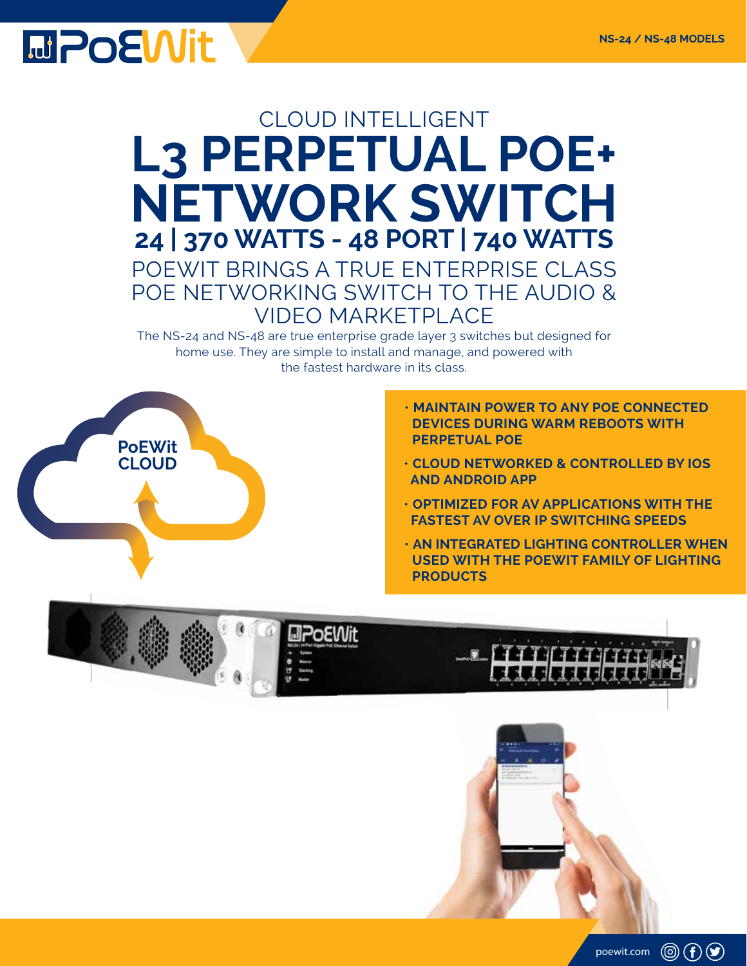

## POEWIT BRINGS A TRUE ENTERPRISE CLASS POE NETWORKING SWITCH TO THE AUDIO & VIDEO MARKETPLACE **L3 PERPETUAL POE+ NETWORK SWITCH 24 | 370 WATTS - 48 PORT | 740 WATTS** CLOUD INTELLIGENT

The NS-24 and NS-48 are true enterprise grade layer 3 switches but designed for home use. They are simple to install and manage, and powered with the fastest hardware in its class.



- **MAINTAIN POWER TO ANY POE CONNECTED DEVICES DURING WARM REBOOTS WITH PERPETUAL POE**
- **CLOUD NETWORKED & CONTROLLED BY IOS AND ANDROID APP**
- **OPTIMIZED FOR AV APPLICATIONS WITH THE FASTEST AV OVER IP SWITCHING SPEEDS**
- **AN INTEGRATED LIGHTING CONTROLLER WHEN USED WITH THE POEWIT FAMILY OF LIGHTING PRODUCTS**

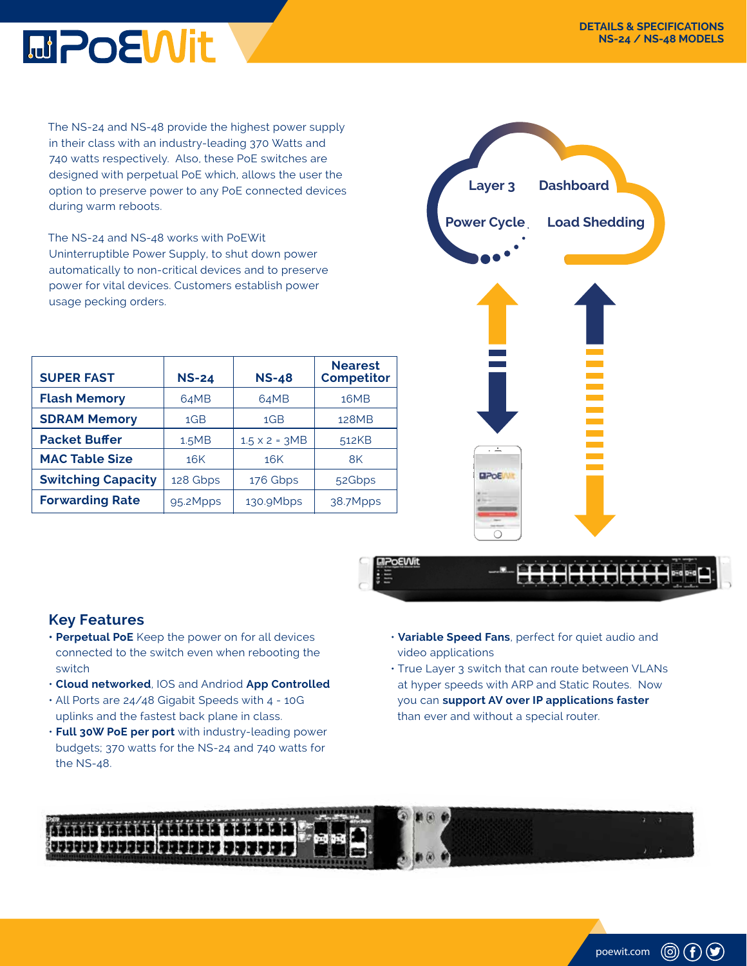

The NS-24 and NS-48 provide the highest power supply in their class with an industry-leading 370 Watts and 740 watts respectively. Also, these PoE switches are designed with perpetual PoE which, allows the user the option to preserve power to any PoE connected devices during warm reboots.

The NS-24 and NS-48 works with PoEWit Uninterruptible Power Supply, to shut down power automatically to non-critical devices and to preserve power for vital devices. Customers establish power usage pecking orders.

| <b>SUPER FAST</b>         | <b>NS-24</b>    | <b>NS-48</b>         | <b>Nearest</b><br><b>Competitor</b> |
|---------------------------|-----------------|----------------------|-------------------------------------|
| <b>Flash Memory</b>       | 64MB            | 64MB                 | 16MB                                |
| <b>SDRAM Memory</b>       | 1 <sub>GB</sub> | 1 <sub>GB</sub>      | 128MB                               |
| <b>Packet Buffer</b>      | 1.5MB           | $1.5 \times 2 = 3MB$ | 512KB                               |
| <b>MAC Table Size</b>     | 16K             | 16K                  | 8K                                  |
| <b>Switching Capacity</b> | 128 Gbps        | 176 Gbps             | 52Gbps                              |
| <b>Forwarding Rate</b>    | 95.2Mpps        | 130.9Mbps            | 38.7Mpps                            |





## **Key Features**

- **Perpetual PoE** Keep the power on for all devices connected to the switch even when rebooting the switch
- **Cloud networked**, IOS and Andriod **App Controlled**
- All Ports are 24/48 Gigabit Speeds with 4 10G uplinks and the fastest back plane in class.
- **Full 30W PoE per port** with industry-leading power budgets; 370 watts for the NS-24 and 740 watts for the NS-48.
- **Variable Speed Fans**, perfect for quiet audio and video applications
- True Layer 3 switch that can route between VLANs at hyper speeds with ARP and Static Routes. Now you can **support AV over IP applications faster** than ever and without a special router.



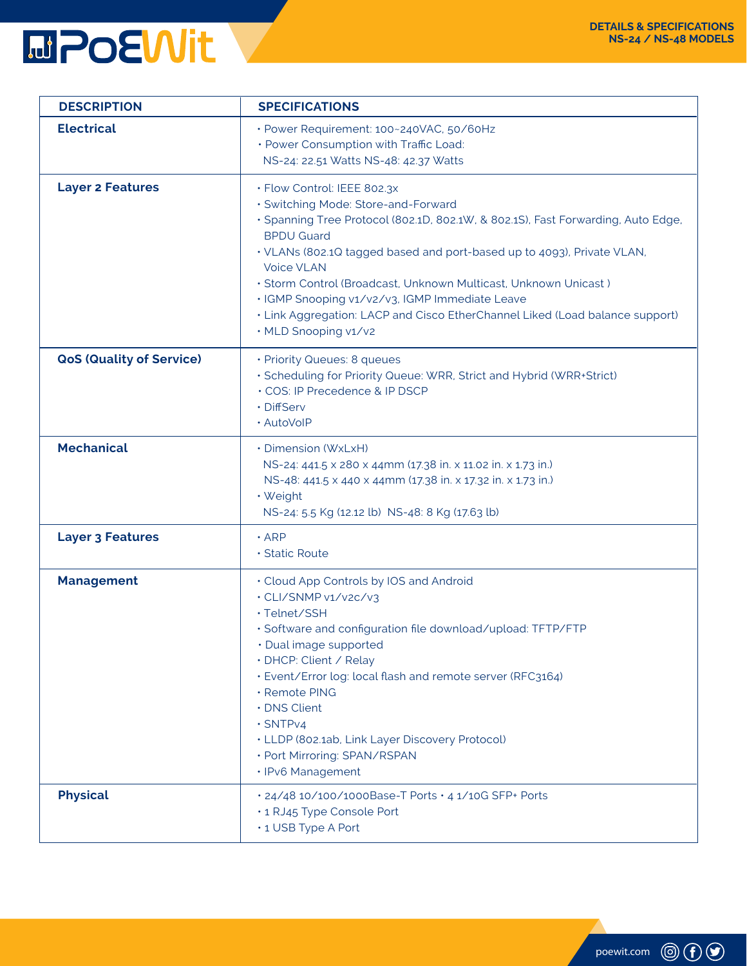

| <b>DESCRIPTION</b>              | <b>SPECIFICATIONS</b>                                                                                                                                                                                                                                                                                                                                                                                                                                                                                   |
|---------------------------------|---------------------------------------------------------------------------------------------------------------------------------------------------------------------------------------------------------------------------------------------------------------------------------------------------------------------------------------------------------------------------------------------------------------------------------------------------------------------------------------------------------|
| <b>Electrical</b>               | · Power Requirement: 100~240VAC, 50/60Hz<br>· Power Consumption with Traffic Load:<br>NS-24: 22.51 Watts NS-48: 42.37 Watts                                                                                                                                                                                                                                                                                                                                                                             |
| <b>Layer 2 Features</b>         | · Flow Control: IEEE 802.3x<br>· Switching Mode: Store-and-Forward<br>· Spanning Tree Protocol (802.1D, 802.1W, & 802.1S), Fast Forwarding, Auto Edge,<br><b>BPDU Guard</b><br>· VLANs (802.1Q tagged based and port-based up to 4093), Private VLAN,<br><b>Voice VLAN</b><br>· Storm Control (Broadcast, Unknown Multicast, Unknown Unicast)<br>· IGMP Snooping v1/v2/v3, IGMP Immediate Leave<br>. Link Aggregation: LACP and Cisco EtherChannel Liked (Load balance support)<br>· MLD Snooping v1/v2 |
| <b>QoS (Quality of Service)</b> | · Priority Queues: 8 queues<br>· Scheduling for Priority Queue: WRR, Strict and Hybrid (WRR+Strict)<br>· COS: IP Precedence & IP DSCP<br>· DiffServ<br>· AutoVoIP                                                                                                                                                                                                                                                                                                                                       |
| <b>Mechanical</b>               | • Dimension (WxLxH)<br>NS-24: 441.5 x 280 x 44mm (17.38 in. x 11.02 in. x 1.73 in.)<br>NS-48: 441.5 x 440 x 44mm (17.38 in. x 17.32 in. x 1.73 in.)<br>· Weight<br>NS-24: 5.5 Kg (12.12 lb) NS-48: 8 Kg (17.63 lb)                                                                                                                                                                                                                                                                                      |
| <b>Layer 3 Features</b>         | $\cdot$ ARP<br>· Static Route                                                                                                                                                                                                                                                                                                                                                                                                                                                                           |
| <b>Management</b>               | • Cloud App Controls by IOS and Android<br>· CLI/SNMP v1/v2c/v3<br>· Telnet/SSH<br>· Software and configuration file download/upload: TFTP/FTP<br>· Dual image supported<br>· DHCP: Client / Relay<br>· Event/Error log: local flash and remote server (RFC3164)<br>· Remote PING<br>· DNS Client<br>$\cdot$ SNTPv4<br>• LLDP (802.1ab, Link Layer Discovery Protocol)<br>· Port Mirroring: SPAN/RSPAN<br>· IPv6 Management                                                                             |
| <b>Physical</b>                 | · 24/48 10/100/1000Base-T Ports · 4 1/10G SFP+ Ports<br>· 1 RJ45 Type Console Port<br>• 1 USB Type A Port                                                                                                                                                                                                                                                                                                                                                                                               |